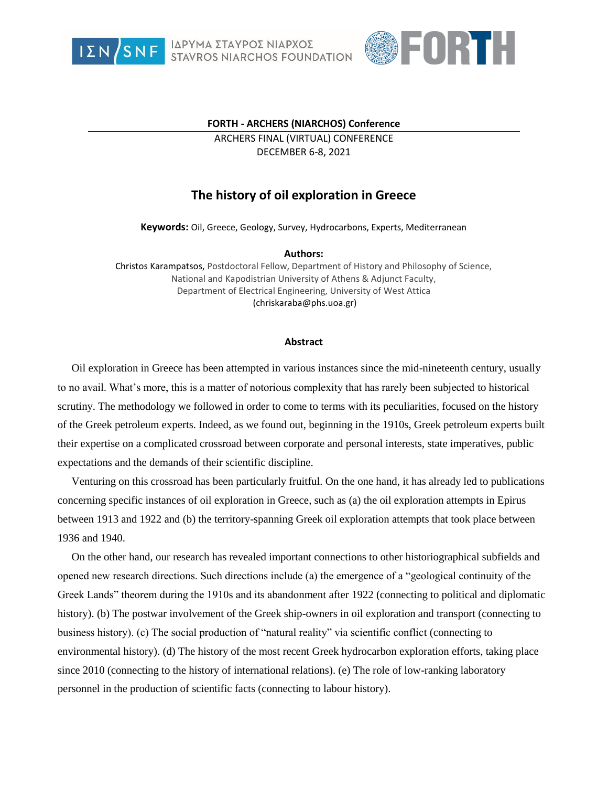

ΙΔΡΥΜΑ ΣΤΑΥΡΟΣ ΝΙΑΡΧΟΣ<br>STAVROS NIARCHOS FOUNDATION



## **FORTH - ARCHERS (NIARCHOS) Conference**

ARCHERS FINAL (VIRTUAL) CONFERENCE DECEMBER 6-8, 2021

## **The history of oil exploration in Greece**

**Keywords:** Oil, Greece, Geology, Survey, Hydrocarbons, Experts, Mediterranean

## **Authors:**

Christos Karampatsos, Postdoctoral Fellow, Department of History and Philosophy of Science, National and Kapodistrian University of Athens & Adjunct Faculty, Department of Electrical Engineering, University of West Attica (chriskaraba@phs.uoa.gr)

## **Abstract**

Oil exploration in Greece has been attempted in various instances since the mid-nineteenth century, usually to no avail. What's more, this is a matter of notorious complexity that has rarely been subjected to historical scrutiny. The methodology we followed in order to come to terms with its peculiarities, focused on the history of the Greek petroleum experts. Indeed, as we found out, beginning in the 1910s, Greek petroleum experts built their expertise on a complicated crossroad between corporate and personal interests, state imperatives, public expectations and the demands of their scientific discipline.

Venturing on this crossroad has been particularly fruitful. On the one hand, it has already led to publications concerning specific instances of oil exploration in Greece, such as (a) the oil exploration attempts in Epirus between 1913 and 1922 and (b) the territory-spanning Greek oil exploration attempts that took place between 1936 and 1940.

On the other hand, our research has revealed important connections to other historiographical subfields and opened new research directions. Such directions include (a) the emergence of a "geological continuity of the Greek Lands" theorem during the 1910s and its abandonment after 1922 (connecting to political and diplomatic history). (b) The postwar involvement of the Greek ship-owners in oil exploration and transport (connecting to business history). (c) The social production of "natural reality" via scientific conflict (connecting to environmental history). (d) The history of the most recent Greek hydrocarbon exploration efforts, taking place since 2010 (connecting to the history of international relations). (e) The role of low-ranking laboratory personnel in the production of scientific facts (connecting to labour history).